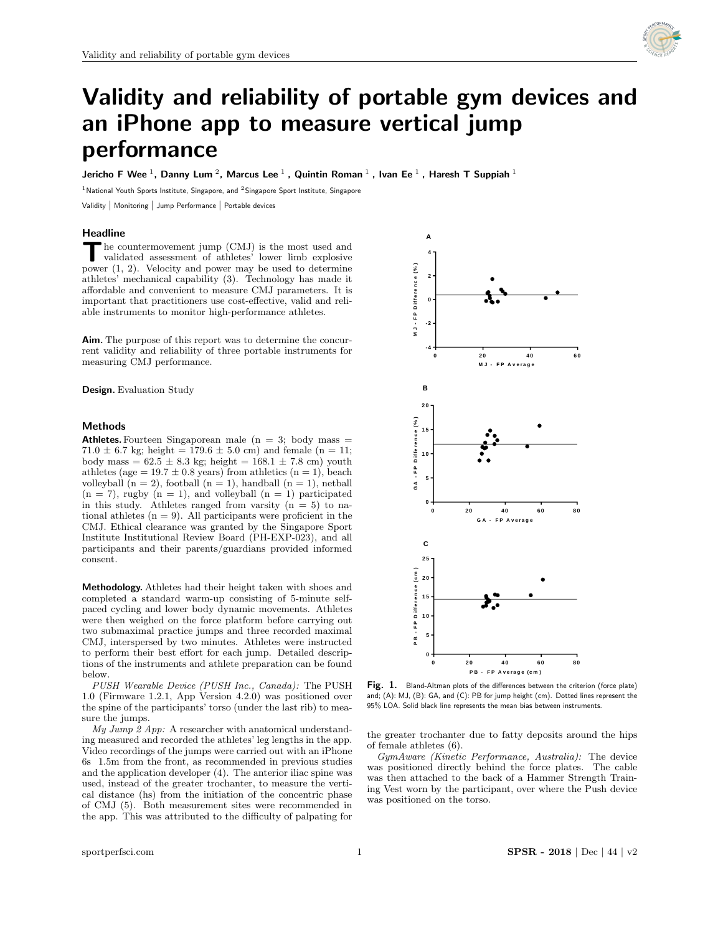

# Validity and reliability of portable gym devices and an iPhone app to measure vertical jump performance

Jericho F Wee  $^1$ , Danny Lum  $^2$ , Marcus Lee  $^1$  , Quintin Roman  $^1$  , Ivan Ee  $^1$  , Haresh T Suppiah  $^1$ 

<sup>1</sup> National Youth Sports Institute, Singapore, and <sup>2</sup> Singapore Sport Institute, Singapore

Validity | Monitoring | Jump Performance | Portable devices

#### Headline

The countermovement jump (CMJ) is the most used and validated assessment of athletes' lower limb explosive power  $(1, 2)$ . Velocity and power may be used to determine he countermovement jump (CMJ) is the most used and validated assessment of athletes' lower limb explosive athletes' mechanical capability (3). Technology has made it affordable and convenient to measure CMJ parameters. It is important that practitioners use cost-effective, valid and reliable instruments to monitor high-performance athletes.

Aim. The purpose of this report was to determine the concurrent validity and reliability of three portable instruments for measuring CMJ performance.

Design. Evaluation Study

### Methods

Athletes. Fourteen Singaporean male  $(n = 3;$  body mass  $=$ 71.0  $\pm$  6.7 kg; height = 179.6  $\pm$  5.0 cm) and female (n = 11; body mass =  $62.5 \pm 8.3$  kg; height =  $168.1 \pm 7.8$  cm) youth athletes (age =  $19.7 \pm 0.8$  years) from athletics (n = 1), beach volleyball  $(n = 2)$ , football  $(n = 1)$ , handball  $(n = 1)$ , netball  $(n = 7)$ , rugby  $(n = 1)$ , and volleyball  $(n = 1)$  participated in this study. Athletes ranged from varsity  $(n = 5)$  to national athletes  $(n = 9)$ . All participants were proficient in the CMJ. Ethical clearance was granted by the Singapore Sport Institute Institutional Review Board (PH-EXP-023), and all participants and their parents/guardians provided informed consent.

Methodology. Athletes had their height taken with shoes and completed a standard warm-up consisting of 5-minute selfpaced cycling and lower body dynamic movements. Athletes were then weighed on the force platform before carrying out two submaximal practice jumps and three recorded maximal CMJ, interspersed by two minutes. Athletes were instructed to perform their best effort for each jump. Detailed descriptions of the instruments and athlete preparation can be found below.

PUSH Wearable Device (PUSH Inc., Canada): The PUSH 1.0 (Firmware 1.2.1, App Version 4.2.0) was positioned over the spine of the participants' torso (under the last rib) to mea-<br>sure the jumps. sure the jumps.

My Jump 2 App: A researcher with anatomical understanding measured and recorded the athletes' leg lengths in the app. Video recordings of the jumps were carried out with an iPhone 6s 1.5m from the front, as recommended in previous studies and the application developer (4). The anterior iliac spine was used, instead of the greater trochanter, to measure the vertical distance (hs) from the initiation of the concentric phase of CMJ (5). Both measurement sites were recommended in the app. This was attributed to the difficulty of palpating for



 $d\alpha$ ): The PUSH **Fig. 1.** Bland-Altman plots of the differences between the criterion (force plate) positioned Over and, (v). Ms, (b). So, and (c). To for jump height (cm). Betted lines represent the part rib) to mea- 95% LOA. Solid black line represents the mean bias between instruments. and; (A): MJ, (B): GA, and (C): PB for jump height (cm). Dotted lines represent the

the greater trochanter due to fatty deposits around the hips of female athletes (6).

GymAware (Kinetic Performance, Australia): The device was positioned directly behind the force plates. The cable was then attached to the back of a Hammer Strength Training Vest worn by the participant, over where the Push device was positioned on the torso.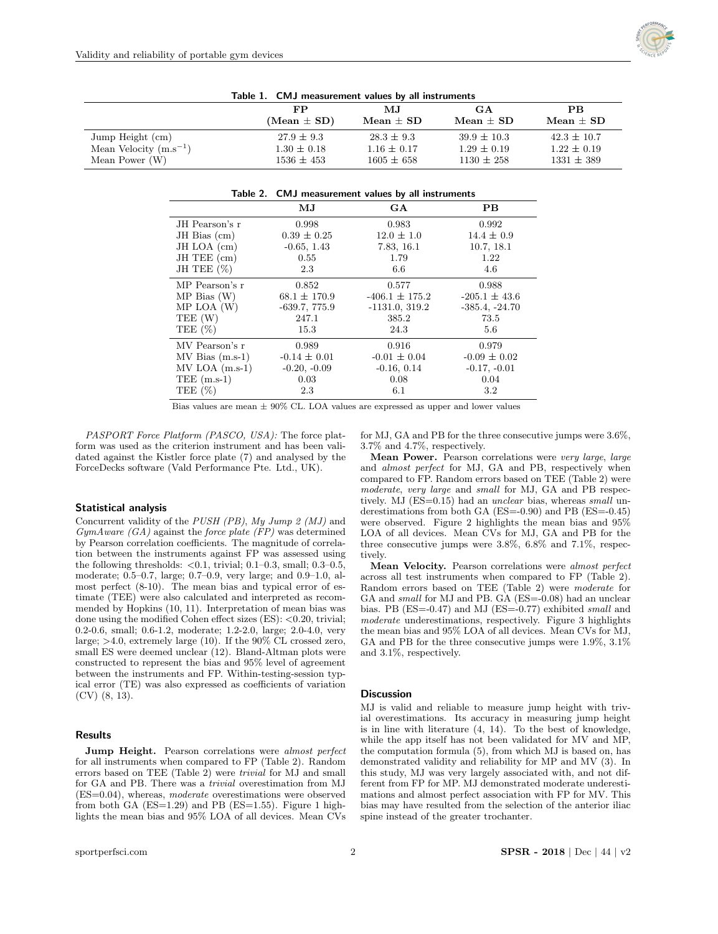

| rable 1. Civit measurement values by an instruments |                 |                 |                 |                 |
|-----------------------------------------------------|-----------------|-----------------|-----------------|-----------------|
|                                                     | FP.             | MJ.             | GА              | <b>PB</b>       |
|                                                     | $(Mean \pm SD)$ | $Mean \pm SD$   | Mean $\pm$ SD   | Mean $\pm$ SD   |
| Jump Height (cm)                                    | $27.9 \pm 9.3$  | $28.3 \pm 9.3$  | $39.9 \pm 10.3$ | $42.3 \pm 10.7$ |
| Mean Velocity $(m.s^{-1})$                          | $1.30 \pm 0.18$ | $1.16 \pm 0.17$ | $1.29 \pm 0.19$ | $1.22 \pm 0.19$ |
| Mean Power $(W)$                                    | $1536 \pm 453$  | $1605 \pm 658$  | $1130 \pm 258$  | $1331 \pm 389$  |

Table 1. CMJ measurement values by all instruments

|                      | Table 2. CMJ measurement values by all instruments |                    |                   |  |
|----------------------|----------------------------------------------------|--------------------|-------------------|--|
|                      | $\mathbf{M} \mathbf{J}$                            | GA                 | PB.               |  |
| JH Pearson's r       | 0.998                                              | 0.983              | 0.992             |  |
| $JH$ Bias $(cm)$     | $0.39 \pm 0.25$                                    | $12.0 \pm 1.0$     | $14.4 \pm 0.9$    |  |
| JH LOA (cm)          | $-0.65, 1.43$                                      | 7.83, 16.1         | 10.7, 18.1        |  |
| JH TEE (cm)          | 0.55                                               | 1.79               | 1.22              |  |
| JH TEE $(\%)$        | 2.3                                                | 6.6                | 4.6               |  |
| MP Pearson's r       | 0.852                                              | 0.577              | 0.988             |  |
| MP Bias(W)           | $68.1 \pm 170.9$                                   | $-406.1 \pm 175.2$ | $-205.1 \pm 43.6$ |  |
| $MP$ LOA $(W)$       | $-639.7, 775.9$                                    | $-1131.0, 319.2$   | $-385.4, -24.70$  |  |
| TEE (W)              | 247.1                                              | 385.2              | 73.5              |  |
| TEE $(\%)$           | 15.3                                               | 24.3               | 5.6               |  |
| MV Pearson's r       | 0.989                                              | 0.916              | 0.979             |  |
| $MV Bias (m.s-1)$    | $-0.14 \pm 0.01$                                   | $-0.01 \pm 0.04$   | $-0.09 \pm 0.02$  |  |
| $MV LOA (m.s-1)$     | $-0.20, -0.09$                                     | $-0.16, 0.14$      | $-0.17, -0.01$    |  |
| $\text{TEE}$ (m.s-1) | 0.03                                               | 0.08               | 0.04              |  |
| TEE $(\%)$           | 2.3                                                | 6.1                | 3.2               |  |

Bias values are mean  $\pm$  90% CL. LOA values are expressed as upper and lower values

PASPORT Force Platform (PASCO, USA): The force platform was used as the criterion instrument and has been validated against the Kistler force plate (7) and analysed by the ForceDecks software (Vald Performance Pte. Ltd., UK).

#### Statistical analysis

Concurrent validity of the PUSH (PB), My Jump 2 (MJ) and  $GymAware$  (GA) against the force plate (FP) was determined by Pearson correlation coefficients. The magnitude of correlation between the instruments against FP was assessed using the following thresholds:  $< 0.1$ , trivial; 0.1–0.3, small; 0.3–0.5, moderate; 0.5–0.7, large; 0.7–0.9, very large; and 0.9–1.0, almost perfect (8-10). The mean bias and typical error of estimate (TEE) were also calculated and interpreted as recommended by Hopkins (10, 11). Interpretation of mean bias was done using the modified Cohen effect sizes (ES): <0.20, trivial; 0.2-0.6, small; 0.6-1.2, moderate; 1.2-2.0, large; 2.0-4.0, very large; >4.0, extremely large (10). If the 90% CL crossed zero, small ES were deemed unclear (12). Bland-Altman plots were constructed to represent the bias and 95% level of agreement between the instruments and FP. Within-testing-session typical error (TE) was also expressed as coefficients of variation (CV) (8, 13).

#### Results

Jump Height. Pearson correlations were *almost perfect* for all instruments when compared to FP (Table 2). Random errors based on TEE (Table 2) were trivial for MJ and small for GA and PB. There was a trivial overestimation from MJ (ES=0.04), whereas, moderate overestimations were observed from both GA  $(ES=1.29)$  and PB  $(ES=1.55)$ . Figure 1 highlights the mean bias and 95% LOA of all devices. Mean CVs

for MJ, GA and PB for the three consecutive jumps were 3.6%, 3.7% and 4.7%, respectively.

Mean Power. Pearson correlations were very large, large and almost perfect for MJ, GA and PB, respectively when compared to FP. Random errors based on TEE (Table 2) were moderate, very large and small for MJ, GA and PB respectively. MJ (ES=0.15) had an *unclear* bias, whereas *small* underestimations from both GA (ES=-0.90) and PB (ES=-0.45) were observed. Figure 2 highlights the mean bias and 95% LOA of all devices. Mean CVs for MJ, GA and PB for the three consecutive jumps were 3.8%, 6.8% and 7.1%, respectively.

Mean Velocity. Pearson correlations were almost perfect across all test instruments when compared to FP (Table 2). Random errors based on TEE (Table 2) were moderate for GA and *small* for MJ and PB. GA (ES=-0.08) had an unclear bias. PB (ES=-0.47) and MJ (ES=-0.77) exhibited small and moderate underestimations, respectively. Figure 3 highlights the mean bias and 95% LOA of all devices. Mean CVs for MJ, GA and PB for the three consecutive jumps were 1.9%, 3.1% and 3.1%, respectively.

#### **Discussion**

MJ is valid and reliable to measure jump height with trivial overestimations. Its accuracy in measuring jump height is in line with literature (4, 14). To the best of knowledge, while the app itself has not been validated for MV and MP, the computation formula (5), from which MJ is based on, has demonstrated validity and reliability for MP and MV (3). In this study, MJ was very largely associated with, and not different from FP for MP. MJ demonstrated moderate underestimations and almost perfect association with FP for MV. This bias may have resulted from the selection of the anterior iliac spine instead of the greater trochanter.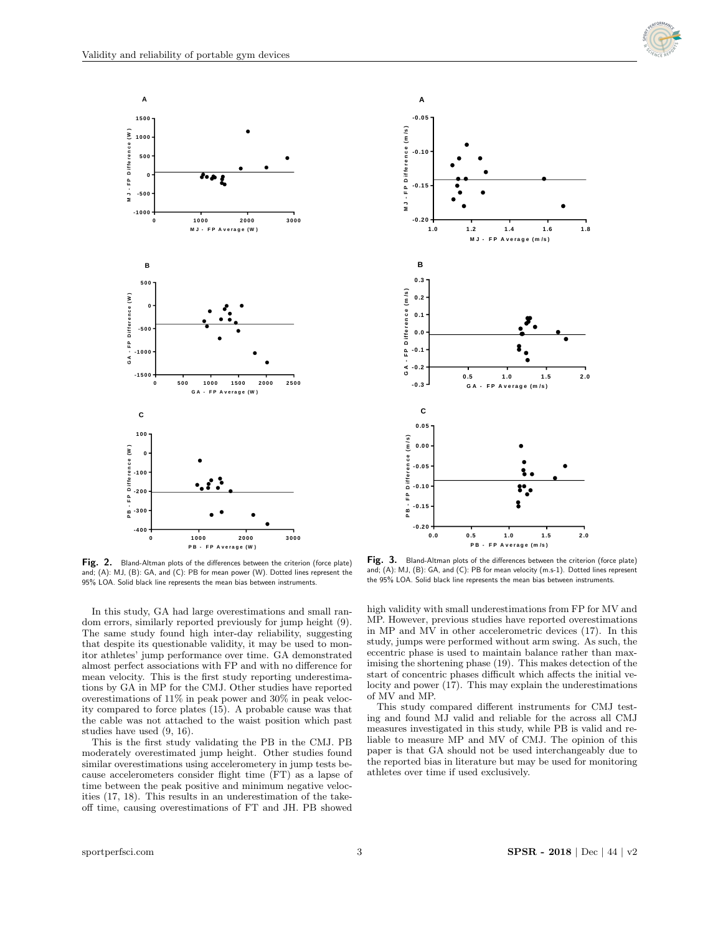



**P B - F P A <sup>v</sup> <sup>e</sup> ra g e(W ) Fig. 2.** Bland-Altman plots of the differences between the criterion (force plate) **Fig. 3.** Bland-Altman plots of the differences between the criterion (force plate) **Fig. 3.** Bland-Altman plots of the differences betwe and; (A): MJ, (B): GA, and (C): PB for mean power (W). Dotted lines represent the and; (A): MJ, (B): GA, and (C): PB for mean power (W). Dotted lines represent the  $\frac{4}{100}$  (B). Units between  $\frac{4}{100}$ 95% LOA. Solid black line represents the mean bias between instruments. between instruments.

In this study, GA had large overestimations and small random errors, similarly reported previously for jump height (9). The same study found high inter-day reliability, suggesting that despite its questionable validity, it may be used to monitor athletes' jump performance over time. GA demonstrated almost perfect associations with FP and with no difference for mean velocity. This is the first study reporting underestimations by GA in MP for the CMJ. Other studies have reported overestimations of 11% in peak power and 30% in peak velocity compared to force plates (15). A probable cause was that the cable was not attached to the waist position which past studies have used (9, 16).

This is the first study validating the PB in the CMJ. PB moderately overestimated jump height. Other studies found similar overestimations using accelerometery in jump tests because accelerometers consider flight time (FT) as a lapse of time between the peak positive and minimum negative velocities (17, 18). This results in an underestimation of the takeoff time, causing overestimations of FT and JH. PB showed



In the criterion (force plate) **Fig. 3.** Bland-Altman plots of the differences between the criterion (force plate) and; (A): MJ, (B): GA, and (C): PB for mean velocity (m.s-1). Dotted lines represent<br>the 95% LOA. Solid black line represents the mean bias between instruments. and; (A): MJ, (B): GA, and (C): PB for mean velocity (m.s-1). Dotted lines represent

high validity with small underestimations from FP for MV and MP. However, previous studies have reported overestimations in MP and MV in other accelerometric devices (17). In this study, jumps were performed without arm swing. As such, the eccentric phase is used to maintain balance rather than maximising the shortening phase (19). This makes detection of the start of concentric phases difficult which affects the initial velocity and power (17). This may explain the underestimations of MV and MP.

This study compared different instruments for CMJ testing and found MJ valid and reliable for the across all CMJ measures investigated in this study, while PB is valid and reliable to measure MP and MV of CMJ. The opinion of this paper is that GA should not be used interchangeably due to the reported bias in literature but may be used for monitoring athletes over time if used exclusively.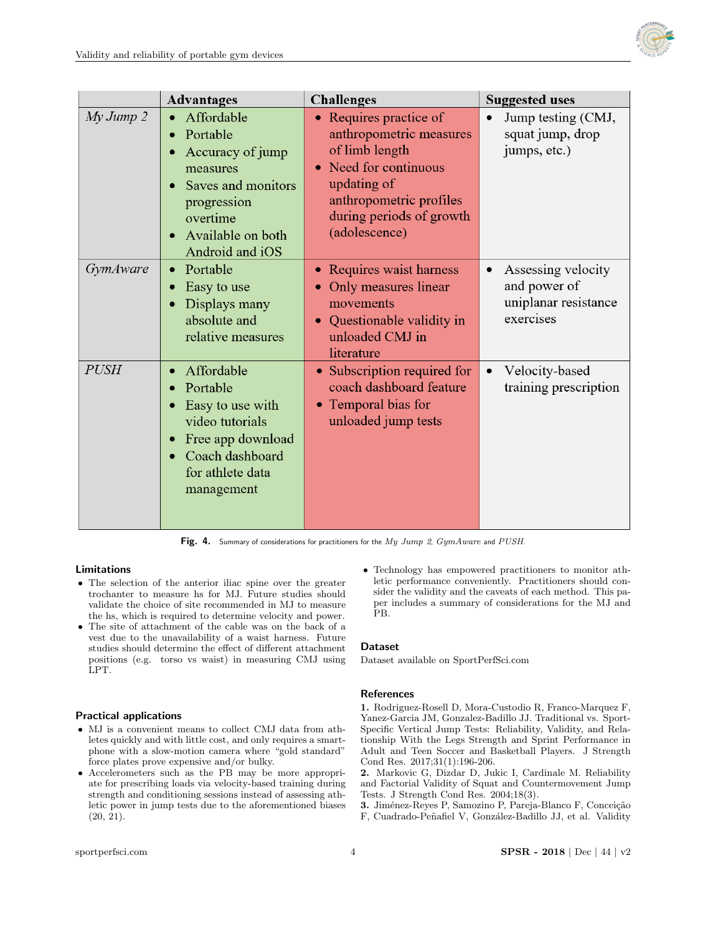

|                   | <b>Advantages</b>                                                                                                                               | <b>Challenges</b>                                                                                                                                                                            | <b>Suggested uses</b>                                                                |
|-------------------|-------------------------------------------------------------------------------------------------------------------------------------------------|----------------------------------------------------------------------------------------------------------------------------------------------------------------------------------------------|--------------------------------------------------------------------------------------|
| $My \, Jump \, 2$ | Affordable<br>Portable<br>Accuracy of jump<br>measures<br>Saves and monitors<br>progression<br>overtime<br>Available on both<br>Android and iOS | Requires practice of<br>anthropometric measures<br>of limb length<br>Need for continuous<br>$\bullet$<br>updating of<br>anthropometric profiles<br>during periods of growth<br>(adolescence) | Jump testing (CMJ,<br>squat jump, drop<br>jumps, etc.)                               |
| <i>GymAware</i>   | Portable<br>Easy to use<br>Displays many<br>absolute and<br>relative measures                                                                   | Requires waist harness<br>Only measures linear<br>movements<br>Questionable validity in<br>unloaded CMJ in<br>literature                                                                     | Assessing velocity<br>$\bullet$<br>and power of<br>uniplanar resistance<br>exercises |
| <b>PUSH</b>       | Affordable<br>Portable<br>Easy to use with<br>video tutorials<br>Free app download<br>Coach dashboard<br>for athlete data<br>management         | • Subscription required for<br>coach dashboard feature<br>Temporal bias for<br>$\bullet$<br>unloaded jump tests                                                                              | Velocity-based<br>$\bullet$<br>training prescription                                 |

Fig. 4. Summary of considerations for practitioners for the  $My\ Jump\ 2,\ GymAware$  and  $PUSH$ .

## Limitations

- The selection of the anterior iliac spine over the greater trochanter to measure hs for MJ. Future studies should validate the choice of site recommended in MJ to measure the hs, which is required to determine velocity and power.
- The site of attachment of the cable was on the back of a vest due to the unavailability of a waist harness. Future studies should determine the effect of different attachment positions (e.g. torso vs waist) in measuring CMJ using LPT.

## Practical applications

- MJ is a convenient means to collect CMJ data from athletes quickly and with little cost, and only requires a smartphone with a slow-motion camera where "gold standard" force plates prove expensive and/or bulky.
- Accelerometers such as the PB may be more appropriate for prescribing loads via velocity-based training during strength and conditioning sessions instead of assessing athletic power in jump tests due to the aforementioned biases  $(20, 21)$ .

 Technology has empowered practitioners to monitor athletic performance conveniently. Practitioners should consider the validity and the caveats of each method. This paper includes a summary of considerations for the MJ and PB.

## Dataset

Dataset available on [SportPerfSci.com](https://sportperfsci.com/)

## **References**

1. Rodriguez-Rosell D, Mora-Custodio R, Franco-Marquez F, Yanez-Garcia JM, Gonzalez-Badillo JJ. Traditional vs. Sport-Specific Vertical Jump Tests: Reliability, Validity, and Relationship With the Legs Strength and Sprint Performance in Adult and Teen Soccer and Basketball Players. J Strength Cond Res. 2017;31(1):196-206.

2. Markovic G, Dizdar D, Jukic I, Cardinale M. Reliability and Factorial Validity of Squat and Countermovement Jump Tests. J Strength Cond Res. 2004;18(3).

3. Jiménez-Reyes P, Samozino P, Pareja-Blanco F, Conceição F, Cuadrado-Peñafiel V, González-Badillo JJ, et al. Validity